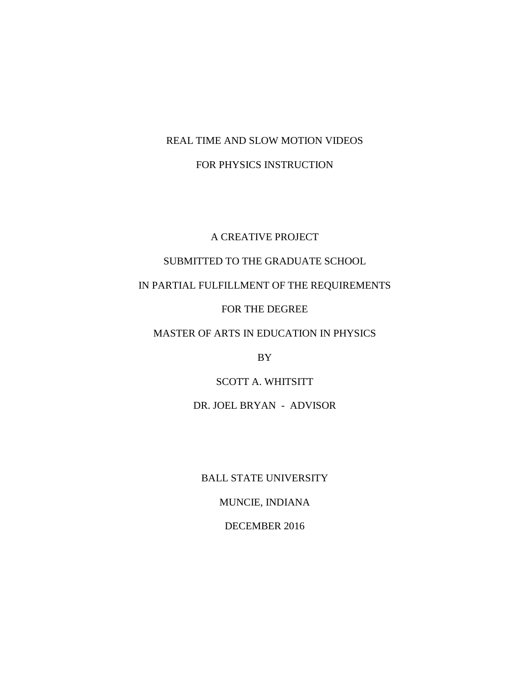# REAL TIME AND SLOW MOTION VIDEOS FOR PHYSICS INSTRUCTION

# A CREATIVE PROJECT

## SUBMITTED TO THE GRADUATE SCHOOL

IN PARTIAL FULFILLMENT OF THE REQUIREMENTS

### FOR THE DEGREE

# MASTER OF ARTS IN EDUCATION IN PHYSICS

BY

# SCOTT A. WHITSITT

# DR. JOEL BRYAN - ADVISOR

BALL STATE UNIVERSITY

# MUNCIE, INDIANA

### DECEMBER 2016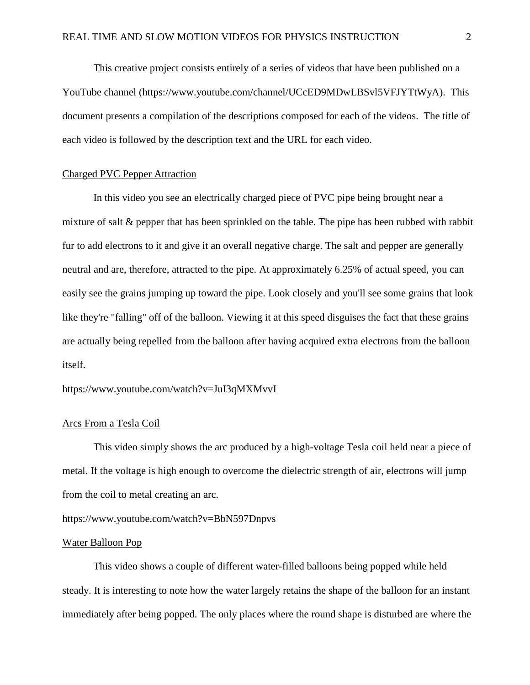This creative project consists entirely of a series of videos that have been published on a YouTube channel (https://www.youtube.com/channel/UCcED9MDwLBSvl5VFJYTtWyA). This document presents a compilation of the descriptions composed for each of the videos. The title of each video is followed by the description text and the URL for each video.

#### Charged PVC Pepper Attraction

In this video you see an electrically charged piece of PVC pipe being brought near a mixture of salt & pepper that has been sprinkled on the table. The pipe has been rubbed with rabbit fur to add electrons to it and give it an overall negative charge. The salt and pepper are generally neutral and are, therefore, attracted to the pipe. At approximately 6.25% of actual speed, you can easily see the grains jumping up toward the pipe. Look closely and you'll see some grains that look like they're "falling" off of the balloon. Viewing it at this speed disguises the fact that these grains are actually being repelled from the balloon after having acquired extra electrons from the balloon itself.

https://www.youtube.com/watch?v=JuI3qMXMvvI

#### Arcs From a Tesla Coil

This video simply shows the arc produced by a high-voltage Tesla coil held near a piece of metal. If the voltage is high enough to overcome the dielectric strength of air, electrons will jump from the coil to metal creating an arc.

https://www.youtube.com/watch?v=BbN597Dnpvs

### Water Balloon Pop

This video shows a couple of different water-filled balloons being popped while held steady. It is interesting to note how the water largely retains the shape of the balloon for an instant immediately after being popped. The only places where the round shape is disturbed are where the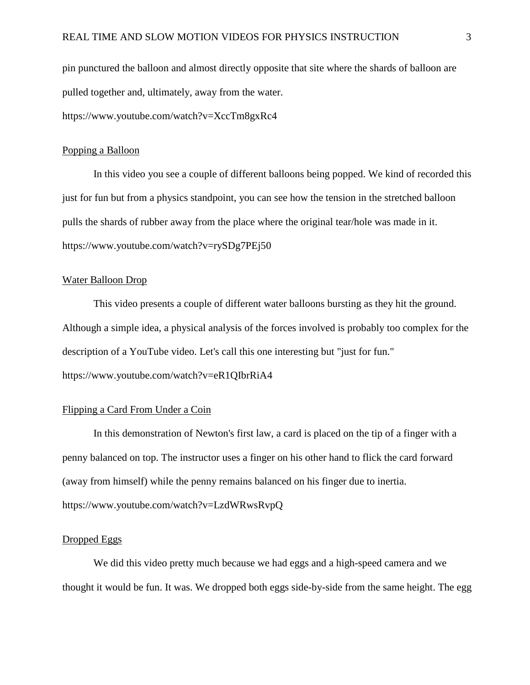pin punctured the balloon and almost directly opposite that site where the shards of balloon are pulled together and, ultimately, away from the water.

https://www.youtube.com/watch?v=XccTm8gxRc4

#### Popping a Balloon

In this video you see a couple of different balloons being popped. We kind of recorded this just for fun but from a physics standpoint, you can see how the tension in the stretched balloon pulls the shards of rubber away from the place where the original tear/hole was made in it. https://www.youtube.com/watch?v=rySDg7PEj50

#### Water Balloon Drop

This video presents a couple of different water balloons bursting as they hit the ground. Although a simple idea, a physical analysis of the forces involved is probably too complex for the description of a YouTube video. Let's call this one interesting but "just for fun."

https://www.youtube.com/watch?v=eR1QIbrRiA4

### Flipping a Card From Under a Coin

In this demonstration of Newton's first law, a card is placed on the tip of a finger with a penny balanced on top. The instructor uses a finger on his other hand to flick the card forward (away from himself) while the penny remains balanced on his finger due to inertia. https://www.youtube.com/watch?v=LzdWRwsRvpQ

#### Dropped Eggs

We did this video pretty much because we had eggs and a high-speed camera and we thought it would be fun. It was. We dropped both eggs side-by-side from the same height. The egg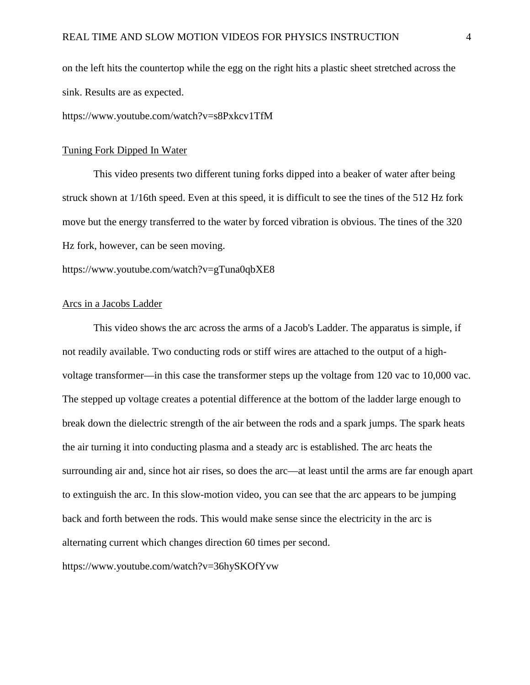on the left hits the countertop while the egg on the right hits a plastic sheet stretched across the sink. Results are as expected.

https://www.youtube.com/watch?v=s8Pxkcv1TfM

#### Tuning Fork Dipped In Water

This video presents two different tuning forks dipped into a beaker of water after being struck shown at 1/16th speed. Even at this speed, it is difficult to see the tines of the 512 Hz fork move but the energy transferred to the water by forced vibration is obvious. The tines of the 320 Hz fork, however, can be seen moving.

https://www.youtube.com/watch?v=gTuna0qbXE8

#### Arcs in a Jacobs Ladder

This video shows the arc across the arms of a Jacob's Ladder. The apparatus is simple, if not readily available. Two conducting rods or stiff wires are attached to the output of a highvoltage transformer—in this case the transformer steps up the voltage from 120 vac to 10,000 vac. The stepped up voltage creates a potential difference at the bottom of the ladder large enough to break down the dielectric strength of the air between the rods and a spark jumps. The spark heats the air turning it into conducting plasma and a steady arc is established. The arc heats the surrounding air and, since hot air rises, so does the arc—at least until the arms are far enough apart to extinguish the arc. In this slow-motion video, you can see that the arc appears to be jumping back and forth between the rods. This would make sense since the electricity in the arc is alternating current which changes direction 60 times per second.

https://www.youtube.com/watch?v=36hySKOfYvw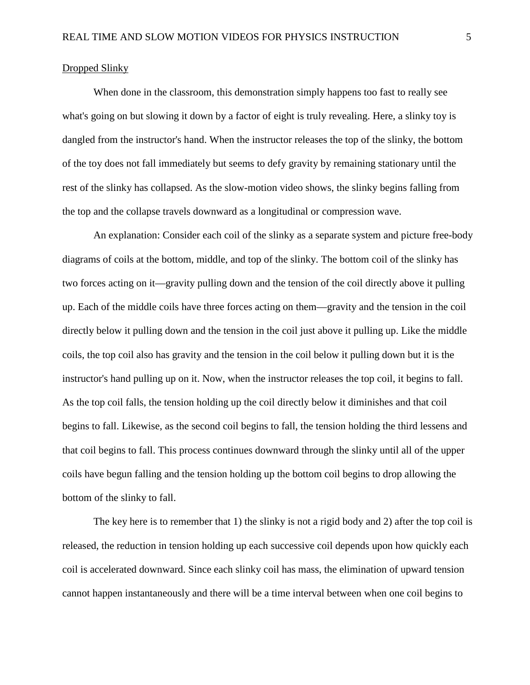#### Dropped Slinky

When done in the classroom, this demonstration simply happens too fast to really see what's going on but slowing it down by a factor of eight is truly revealing. Here, a slinky toy is dangled from the instructor's hand. When the instructor releases the top of the slinky, the bottom of the toy does not fall immediately but seems to defy gravity by remaining stationary until the rest of the slinky has collapsed. As the slow-motion video shows, the slinky begins falling from the top and the collapse travels downward as a longitudinal or compression wave.

An explanation: Consider each coil of the slinky as a separate system and picture free-body diagrams of coils at the bottom, middle, and top of the slinky. The bottom coil of the slinky has two forces acting on it—gravity pulling down and the tension of the coil directly above it pulling up. Each of the middle coils have three forces acting on them—gravity and the tension in the coil directly below it pulling down and the tension in the coil just above it pulling up. Like the middle coils, the top coil also has gravity and the tension in the coil below it pulling down but it is the instructor's hand pulling up on it. Now, when the instructor releases the top coil, it begins to fall. As the top coil falls, the tension holding up the coil directly below it diminishes and that coil begins to fall. Likewise, as the second coil begins to fall, the tension holding the third lessens and that coil begins to fall. This process continues downward through the slinky until all of the upper coils have begun falling and the tension holding up the bottom coil begins to drop allowing the bottom of the slinky to fall.

The key here is to remember that 1) the slinky is not a rigid body and 2) after the top coil is released, the reduction in tension holding up each successive coil depends upon how quickly each coil is accelerated downward. Since each slinky coil has mass, the elimination of upward tension cannot happen instantaneously and there will be a time interval between when one coil begins to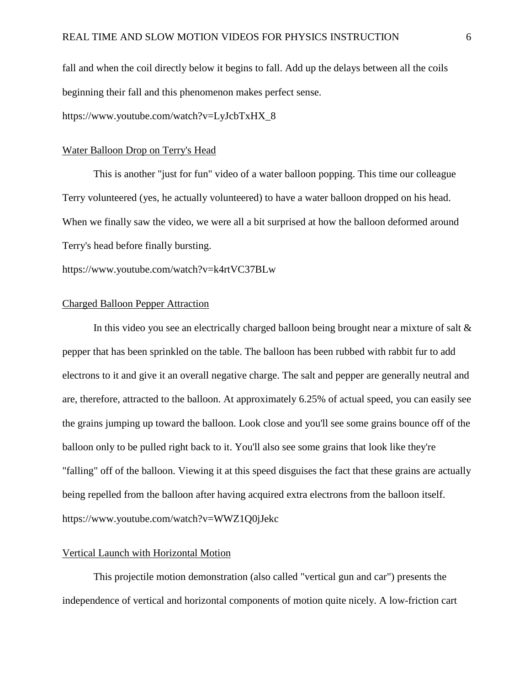fall and when the coil directly below it begins to fall. Add up the delays between all the coils beginning their fall and this phenomenon makes perfect sense.

https://www.youtube.com/watch?v=LyJcbTxHX\_8

#### Water Balloon Drop on Terry's Head

This is another "just for fun" video of a water balloon popping. This time our colleague Terry volunteered (yes, he actually volunteered) to have a water balloon dropped on his head. When we finally saw the video, we were all a bit surprised at how the balloon deformed around Terry's head before finally bursting.

https://www.youtube.com/watch?v=k4rtVC37BLw

### Charged Balloon Pepper Attraction

In this video you see an electrically charged balloon being brought near a mixture of salt  $\&$ pepper that has been sprinkled on the table. The balloon has been rubbed with rabbit fur to add electrons to it and give it an overall negative charge. The salt and pepper are generally neutral and are, therefore, attracted to the balloon. At approximately 6.25% of actual speed, you can easily see the grains jumping up toward the balloon. Look close and you'll see some grains bounce off of the balloon only to be pulled right back to it. You'll also see some grains that look like they're "falling" off of the balloon. Viewing it at this speed disguises the fact that these grains are actually being repelled from the balloon after having acquired extra electrons from the balloon itself. https://www.youtube.com/watch?v=WWZ1Q0jJekc

#### Vertical Launch with Horizontal Motion

This projectile motion demonstration (also called "vertical gun and car") presents the independence of vertical and horizontal components of motion quite nicely. A low-friction cart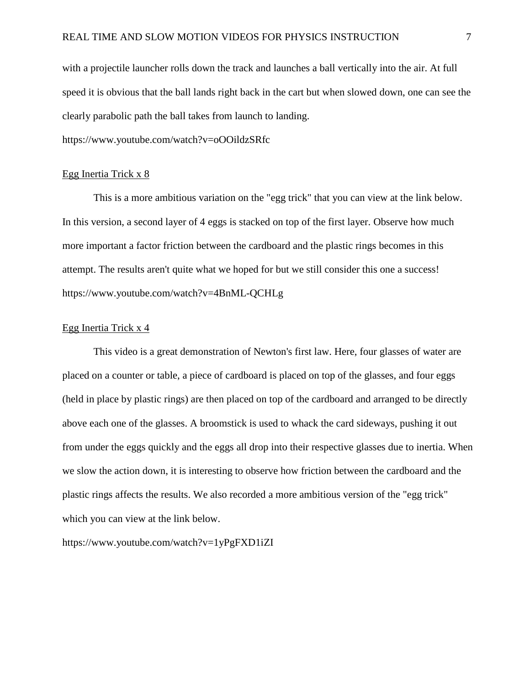with a projectile launcher rolls down the track and launches a ball vertically into the air. At full speed it is obvious that the ball lands right back in the cart but when slowed down, one can see the clearly parabolic path the ball takes from launch to landing.

https://www.youtube.com/watch?v=oOOildzSRfc

#### Egg Inertia Trick x 8

This is a more ambitious variation on the "egg trick" that you can view at the link below. In this version, a second layer of 4 eggs is stacked on top of the first layer. Observe how much more important a factor friction between the cardboard and the plastic rings becomes in this attempt. The results aren't quite what we hoped for but we still consider this one a success! https://www.youtube.com/watch?v=4BnML-QCHLg

#### Egg Inertia Trick x 4

This video is a great demonstration of Newton's first law. Here, four glasses of water are placed on a counter or table, a piece of cardboard is placed on top of the glasses, and four eggs (held in place by plastic rings) are then placed on top of the cardboard and arranged to be directly above each one of the glasses. A broomstick is used to whack the card sideways, pushing it out from under the eggs quickly and the eggs all drop into their respective glasses due to inertia. When we slow the action down, it is interesting to observe how friction between the cardboard and the plastic rings affects the results. We also recorded a more ambitious version of the "egg trick" which you can view at the link below.

https://www.youtube.com/watch?v=1yPgFXD1iZI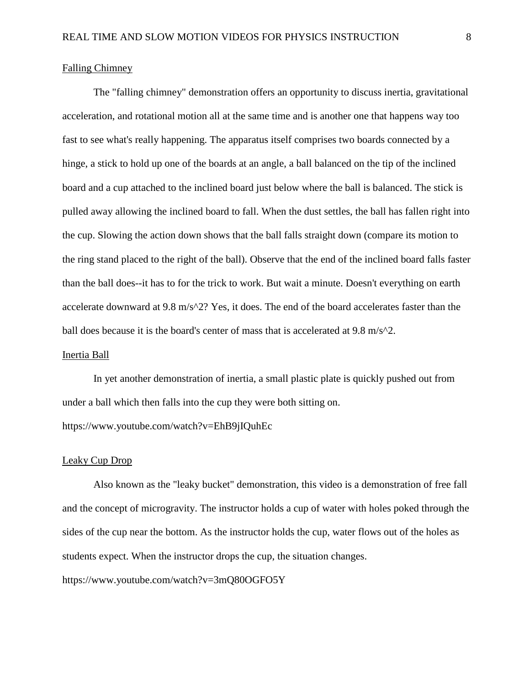#### Falling Chimney

The "falling chimney" demonstration offers an opportunity to discuss inertia, gravitational acceleration, and rotational motion all at the same time and is another one that happens way too fast to see what's really happening. The apparatus itself comprises two boards connected by a hinge, a stick to hold up one of the boards at an angle, a ball balanced on the tip of the inclined board and a cup attached to the inclined board just below where the ball is balanced. The stick is pulled away allowing the inclined board to fall. When the dust settles, the ball has fallen right into the cup. Slowing the action down shows that the ball falls straight down (compare its motion to the ring stand placed to the right of the ball). Observe that the end of the inclined board falls faster than the ball does--it has to for the trick to work. But wait a minute. Doesn't everything on earth accelerate downward at 9.8 m/s^2? Yes, it does. The end of the board accelerates faster than the ball does because it is the board's center of mass that is accelerated at  $9.8 \text{ m/s}^2$ .

#### Inertia Ball

In yet another demonstration of inertia, a small plastic plate is quickly pushed out from under a ball which then falls into the cup they were both sitting on. https://www.youtube.com/watch?v=EhB9jIQuhEc

#### Leaky Cup Drop

Also known as the "leaky bucket" demonstration, this video is a demonstration of free fall and the concept of microgravity. The instructor holds a cup of water with holes poked through the sides of the cup near the bottom. As the instructor holds the cup, water flows out of the holes as students expect. When the instructor drops the cup, the situation changes.

https://www.youtube.com/watch?v=3mQ80OGFO5Y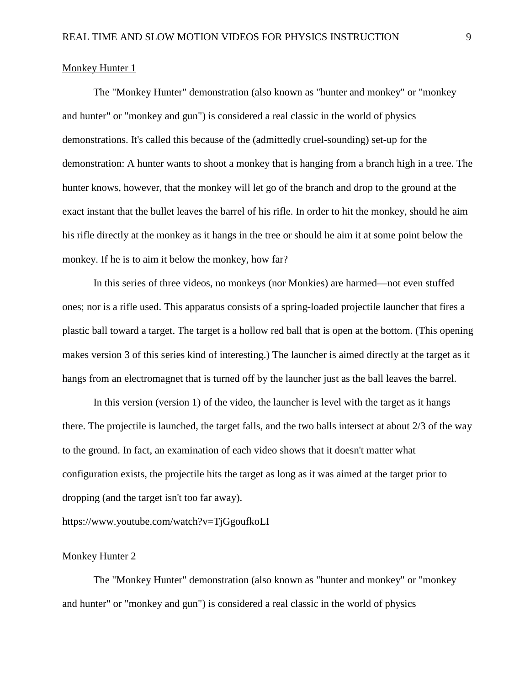#### Monkey Hunter 1

The "Monkey Hunter" demonstration (also known as "hunter and monkey" or "monkey and hunter" or "monkey and gun") is considered a real classic in the world of physics demonstrations. It's called this because of the (admittedly cruel-sounding) set-up for the demonstration: A hunter wants to shoot a monkey that is hanging from a branch high in a tree. The hunter knows, however, that the monkey will let go of the branch and drop to the ground at the exact instant that the bullet leaves the barrel of his rifle. In order to hit the monkey, should he aim his rifle directly at the monkey as it hangs in the tree or should he aim it at some point below the monkey. If he is to aim it below the monkey, how far?

In this series of three videos, no monkeys (nor Monkies) are harmed—not even stuffed ones; nor is a rifle used. This apparatus consists of a spring-loaded projectile launcher that fires a plastic ball toward a target. The target is a hollow red ball that is open at the bottom. (This opening makes version 3 of this series kind of interesting.) The launcher is aimed directly at the target as it hangs from an electromagnet that is turned off by the launcher just as the ball leaves the barrel.

In this version (version 1) of the video, the launcher is level with the target as it hangs there. The projectile is launched, the target falls, and the two balls intersect at about 2/3 of the way to the ground. In fact, an examination of each video shows that it doesn't matter what configuration exists, the projectile hits the target as long as it was aimed at the target prior to dropping (and the target isn't too far away).

https://www.youtube.com/watch?v=TjGgoufkoLI

#### Monkey Hunter 2

The "Monkey Hunter" demonstration (also known as "hunter and monkey" or "monkey and hunter" or "monkey and gun") is considered a real classic in the world of physics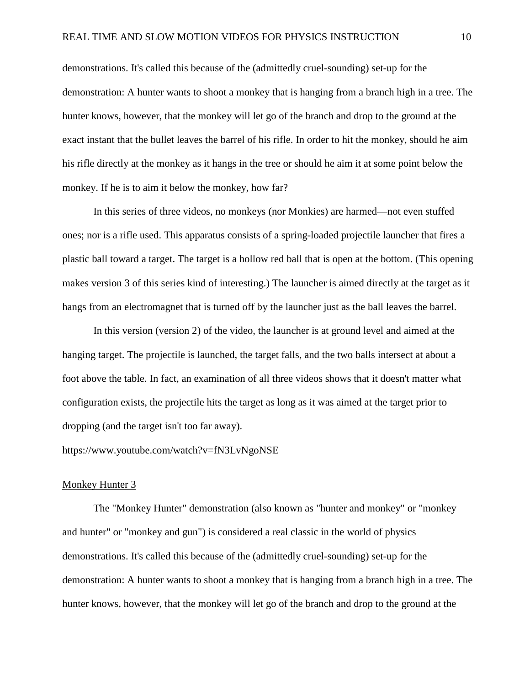demonstrations. It's called this because of the (admittedly cruel-sounding) set-up for the demonstration: A hunter wants to shoot a monkey that is hanging from a branch high in a tree. The hunter knows, however, that the monkey will let go of the branch and drop to the ground at the exact instant that the bullet leaves the barrel of his rifle. In order to hit the monkey, should he aim his rifle directly at the monkey as it hangs in the tree or should he aim it at some point below the monkey. If he is to aim it below the monkey, how far?

In this series of three videos, no monkeys (nor Monkies) are harmed—not even stuffed ones; nor is a rifle used. This apparatus consists of a spring-loaded projectile launcher that fires a plastic ball toward a target. The target is a hollow red ball that is open at the bottom. (This opening makes version 3 of this series kind of interesting.) The launcher is aimed directly at the target as it hangs from an electromagnet that is turned off by the launcher just as the ball leaves the barrel.

In this version (version 2) of the video, the launcher is at ground level and aimed at the hanging target. The projectile is launched, the target falls, and the two balls intersect at about a foot above the table. In fact, an examination of all three videos shows that it doesn't matter what configuration exists, the projectile hits the target as long as it was aimed at the target prior to dropping (and the target isn't too far away).

https://www.youtube.com/watch?v=fN3LvNgoNSE

#### Monkey Hunter 3

The "Monkey Hunter" demonstration (also known as "hunter and monkey" or "monkey and hunter" or "monkey and gun") is considered a real classic in the world of physics demonstrations. It's called this because of the (admittedly cruel-sounding) set-up for the demonstration: A hunter wants to shoot a monkey that is hanging from a branch high in a tree. The hunter knows, however, that the monkey will let go of the branch and drop to the ground at the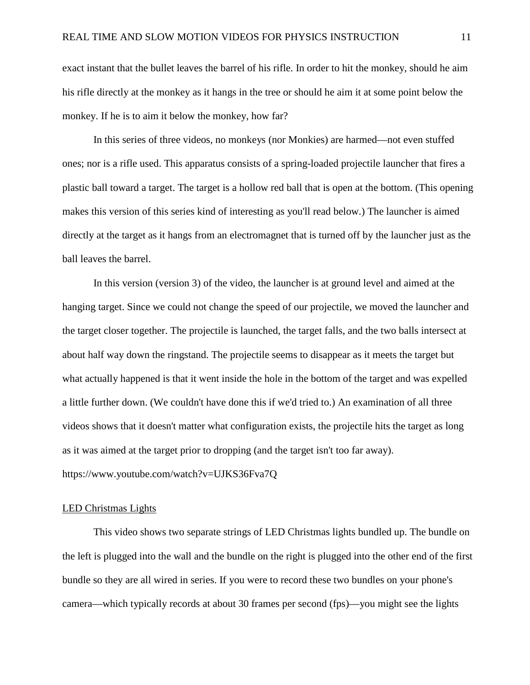exact instant that the bullet leaves the barrel of his rifle. In order to hit the monkey, should he aim his rifle directly at the monkey as it hangs in the tree or should he aim it at some point below the monkey. If he is to aim it below the monkey, how far?

In this series of three videos, no monkeys (nor Monkies) are harmed—not even stuffed ones; nor is a rifle used. This apparatus consists of a spring-loaded projectile launcher that fires a plastic ball toward a target. The target is a hollow red ball that is open at the bottom. (This opening makes this version of this series kind of interesting as you'll read below.) The launcher is aimed directly at the target as it hangs from an electromagnet that is turned off by the launcher just as the ball leaves the barrel.

In this version (version 3) of the video, the launcher is at ground level and aimed at the hanging target. Since we could not change the speed of our projectile, we moved the launcher and the target closer together. The projectile is launched, the target falls, and the two balls intersect at about half way down the ringstand. The projectile seems to disappear as it meets the target but what actually happened is that it went inside the hole in the bottom of the target and was expelled a little further down. (We couldn't have done this if we'd tried to.) An examination of all three videos shows that it doesn't matter what configuration exists, the projectile hits the target as long as it was aimed at the target prior to dropping (and the target isn't too far away). https://www.youtube.com/watch?v=UJKS36Fva7Q

#### LED Christmas Lights

This video shows two separate strings of LED Christmas lights bundled up. The bundle on the left is plugged into the wall and the bundle on the right is plugged into the other end of the first bundle so they are all wired in series. If you were to record these two bundles on your phone's camera—which typically records at about 30 frames per second (fps)—you might see the lights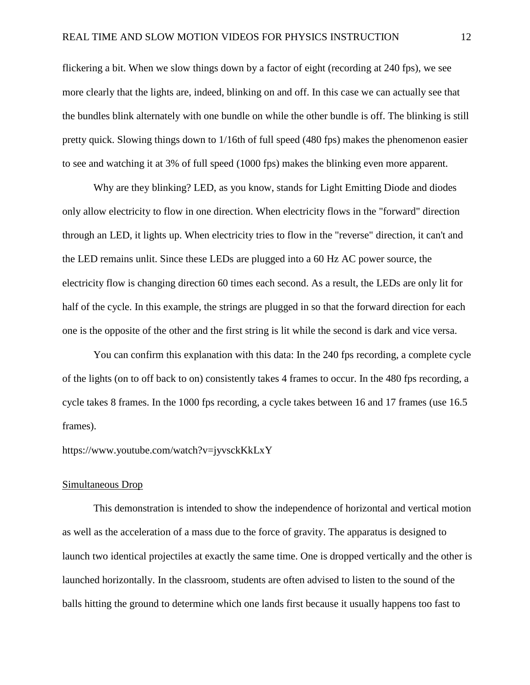flickering a bit. When we slow things down by a factor of eight (recording at 240 fps), we see more clearly that the lights are, indeed, blinking on and off. In this case we can actually see that the bundles blink alternately with one bundle on while the other bundle is off. The blinking is still pretty quick. Slowing things down to 1/16th of full speed (480 fps) makes the phenomenon easier to see and watching it at 3% of full speed (1000 fps) makes the blinking even more apparent.

Why are they blinking? LED, as you know, stands for Light Emitting Diode and diodes only allow electricity to flow in one direction. When electricity flows in the "forward" direction through an LED, it lights up. When electricity tries to flow in the "reverse" direction, it can't and the LED remains unlit. Since these LEDs are plugged into a 60 Hz AC power source, the electricity flow is changing direction 60 times each second. As a result, the LEDs are only lit for half of the cycle. In this example, the strings are plugged in so that the forward direction for each one is the opposite of the other and the first string is lit while the second is dark and vice versa.

You can confirm this explanation with this data: In the 240 fps recording, a complete cycle of the lights (on to off back to on) consistently takes 4 frames to occur. In the 480 fps recording, a cycle takes 8 frames. In the 1000 fps recording, a cycle takes between 16 and 17 frames (use 16.5 frames).

#### https://www.youtube.com/watch?v=jyvsckKkLxY

#### Simultaneous Drop

This demonstration is intended to show the independence of horizontal and vertical motion as well as the acceleration of a mass due to the force of gravity. The apparatus is designed to launch two identical projectiles at exactly the same time. One is dropped vertically and the other is launched horizontally. In the classroom, students are often advised to listen to the sound of the balls hitting the ground to determine which one lands first because it usually happens too fast to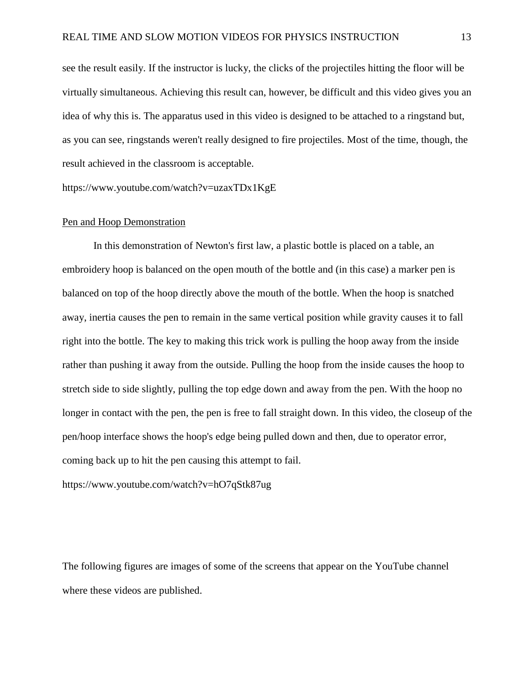see the result easily. If the instructor is lucky, the clicks of the projectiles hitting the floor will be virtually simultaneous. Achieving this result can, however, be difficult and this video gives you an idea of why this is. The apparatus used in this video is designed to be attached to a ringstand but, as you can see, ringstands weren't really designed to fire projectiles. Most of the time, though, the result achieved in the classroom is acceptable.

https://www.youtube.com/watch?v=uzaxTDx1KgE

#### Pen and Hoop Demonstration

In this demonstration of Newton's first law, a plastic bottle is placed on a table, an embroidery hoop is balanced on the open mouth of the bottle and (in this case) a marker pen is balanced on top of the hoop directly above the mouth of the bottle. When the hoop is snatched away, inertia causes the pen to remain in the same vertical position while gravity causes it to fall right into the bottle. The key to making this trick work is pulling the hoop away from the inside rather than pushing it away from the outside. Pulling the hoop from the inside causes the hoop to stretch side to side slightly, pulling the top edge down and away from the pen. With the hoop no longer in contact with the pen, the pen is free to fall straight down. In this video, the closeup of the pen/hoop interface shows the hoop's edge being pulled down and then, due to operator error, coming back up to hit the pen causing this attempt to fail.

https://www.youtube.com/watch?v=hO7qStk87ug

The following figures are images of some of the screens that appear on the YouTube channel where these videos are published.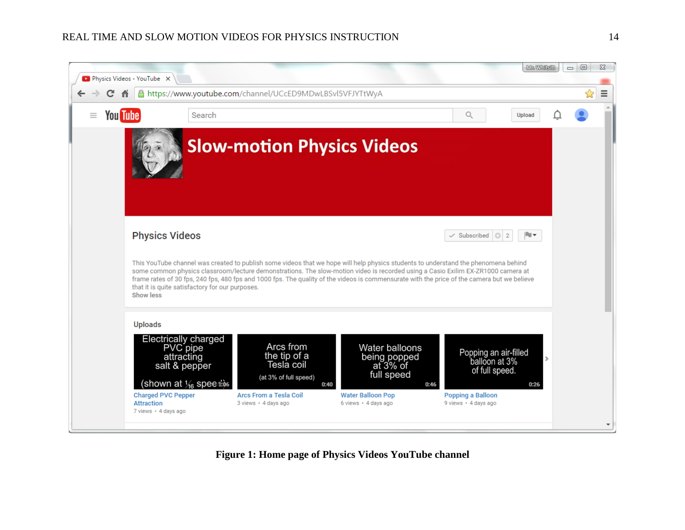### REAL TIME AND SLOW MOTION VIDEOS FOR PHYSICS INSTRUCTION 14



**Figure 1: Home page of Physics Videos YouTube channel**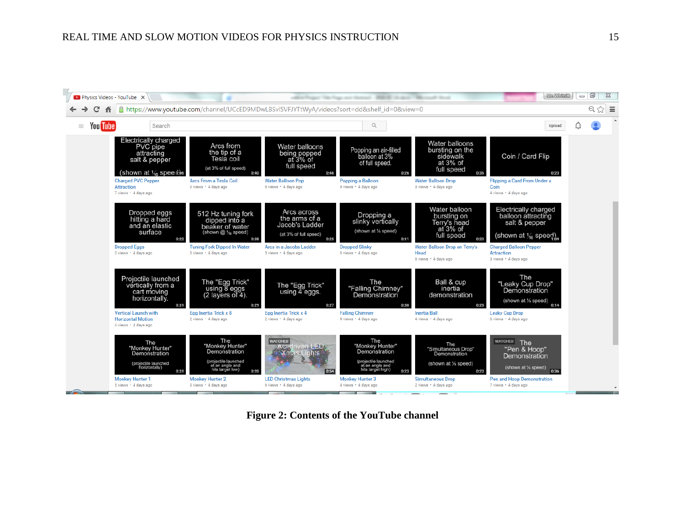

**Figure 2: Contents of the YouTube channel**